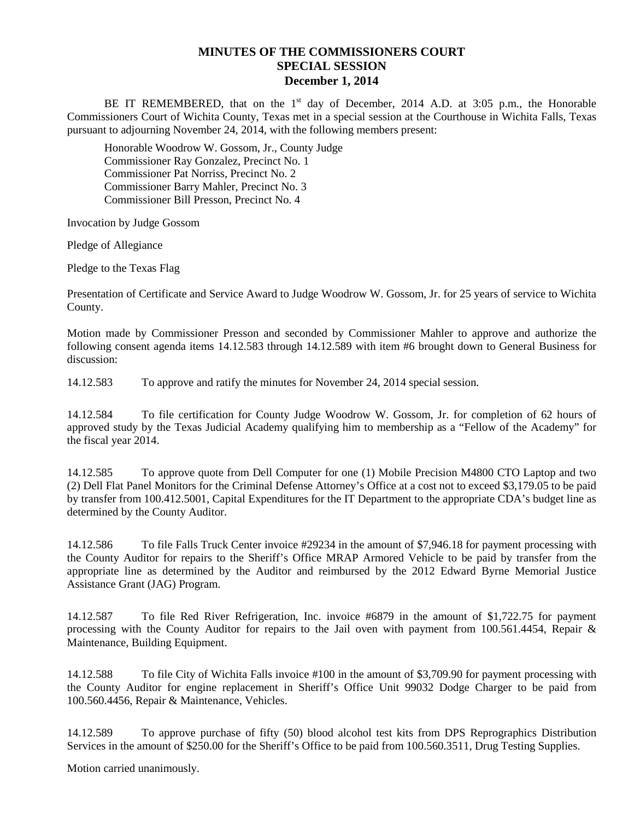## **MINUTES OF THE COMMISSIONERS COURT SPECIAL SESSION December 1, 2014**

BE IT REMEMBERED, that on the  $1<sup>st</sup>$  day of December, 2014 A.D. at 3:05 p.m., the Honorable Commissioners Court of Wichita County, Texas met in a special session at the Courthouse in Wichita Falls, Texas pursuant to adjourning November 24, 2014, with the following members present:

Honorable Woodrow W. Gossom, Jr., County Judge Commissioner Ray Gonzalez, Precinct No. 1 Commissioner Pat Norriss, Precinct No. 2 Commissioner Barry Mahler, Precinct No. 3 Commissioner Bill Presson, Precinct No. 4

Invocation by Judge Gossom

Pledge of Allegiance

Pledge to the Texas Flag

Presentation of Certificate and Service Award to Judge Woodrow W. Gossom, Jr. for 25 years of service to Wichita County.

Motion made by Commissioner Presson and seconded by Commissioner Mahler to approve and authorize the following consent agenda items 14.12.583 through 14.12.589 with item #6 brought down to General Business for discussion:

14.12.583 To approve and ratify the minutes for November 24, 2014 special session.

14.12.584 To file certification for County Judge Woodrow W. Gossom, Jr. for completion of 62 hours of approved study by the Texas Judicial Academy qualifying him to membership as a "Fellow of the Academy" for the fiscal year 2014.

14.12.585 To approve quote from Dell Computer for one (1) Mobile Precision M4800 CTO Laptop and two (2) Dell Flat Panel Monitors for the Criminal Defense Attorney's Office at a cost not to exceed \$3,179.05 to be paid by transfer from 100.412.5001, Capital Expenditures for the IT Department to the appropriate CDA's budget line as determined by the County Auditor.

14.12.586 To file Falls Truck Center invoice #29234 in the amount of \$7,946.18 for payment processing with the County Auditor for repairs to the Sheriff's Office MRAP Armored Vehicle to be paid by transfer from the appropriate line as determined by the Auditor and reimbursed by the 2012 Edward Byrne Memorial Justice Assistance Grant (JAG) Program.

14.12.587 To file Red River Refrigeration, Inc. invoice #6879 in the amount of \$1,722.75 for payment processing with the County Auditor for repairs to the Jail oven with payment from 100.561.4454, Repair & Maintenance, Building Equipment.

14.12.588 To file City of Wichita Falls invoice #100 in the amount of \$3,709.90 for payment processing with the County Auditor for engine replacement in Sheriff's Office Unit 99032 Dodge Charger to be paid from 100.560.4456, Repair & Maintenance, Vehicles.

14.12.589 To approve purchase of fifty (50) blood alcohol test kits from DPS Reprographics Distribution Services in the amount of \$250.00 for the Sheriff's Office to be paid from 100.560.3511, Drug Testing Supplies.

Motion carried unanimously.